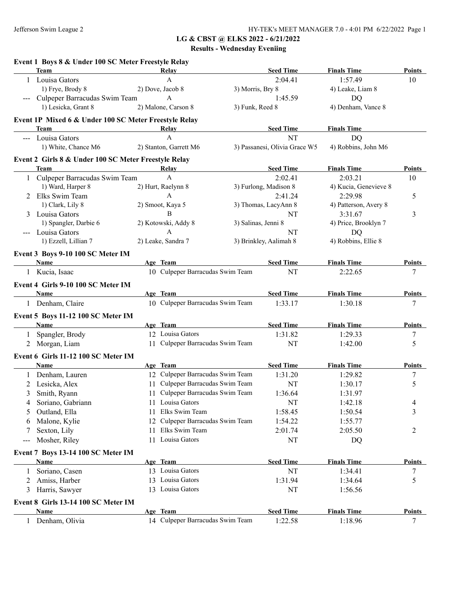|       | Event 1 Boys 8 & Under 100 SC Meter Freestyle Relay<br><b>Team</b> | Relay                                        | <b>Seed Time</b>              | <b>Finals Time</b>    | <b>Points</b>            |
|-------|--------------------------------------------------------------------|----------------------------------------------|-------------------------------|-----------------------|--------------------------|
|       | 1 Louisa Gators                                                    | $\mathbf{A}$                                 | 2:04.41                       | 1:57.49               | 10                       |
|       | 1) Frye, Brody 8                                                   | 2) Dove, Jacob 8                             | 3) Morris, Bry 8              | 4) Leake, Liam 8      |                          |
|       | Culpeper Barracudas Swim Team                                      | A                                            | 1:45.59                       | DQ                    |                          |
|       | 1) Lesicka, Grant 8                                                | 2) Malone, Carson 8                          | 3) Funk, Reed 8               | 4) Denham, Vance 8    |                          |
|       | Event 1P Mixed 6 & Under 100 SC Meter Freestyle Relay              |                                              |                               |                       |                          |
|       | Team                                                               | Relay                                        | <b>Seed Time</b>              | <b>Finals Time</b>    |                          |
|       | --- Louisa Gators                                                  | $\mathsf{A}$                                 | <b>NT</b>                     | <b>DQ</b>             |                          |
|       | 1) White, Chance M6                                                | 2) Stanton, Garrett M6                       | 3) Passanesi, Olivia Grace W5 | 4) Robbins, John M6   |                          |
|       | Event 2 Girls 8 & Under 100 SC Meter Freestyle Relay               |                                              |                               |                       |                          |
|       | Team                                                               | Relay                                        | <b>Seed Time</b>              | <b>Finals Time</b>    | Points                   |
|       | 1 Culpeper Barracudas Swim Team                                    | $\mathbf{A}$                                 | 2:02.41                       | 2:03.21               | 10                       |
|       | 1) Ward, Harper 8                                                  | 2) Hurt, Raelynn 8                           | 3) Furlong, Madison 8         | 4) Kucia, Genevieve 8 |                          |
|       | 2 Elks Swim Team                                                   | A                                            | 2:41.24                       | 2:29.98               | 5                        |
|       | 1) Clark, Lily 8                                                   | 2) Smoot, Kaya 5                             | 3) Thomas, LacyAnn 8          | 4) Patterson, Avery 8 |                          |
|       | 3 Louisa Gators                                                    | B                                            | NT                            | 3:31.67               | $\mathfrak{Z}$           |
|       | 1) Spangler, Darbie 6                                              | 2) Kotowski, Addy 8                          | 3) Salinas, Jenni 8           | 4) Price, Brooklyn 7  |                          |
|       | --- Louisa Gators                                                  | $\mathbf{A}$                                 | NT                            | DQ                    |                          |
|       | 1) Ezzell, Lillian 7                                               | 2) Leake, Sandra 7                           | 3) Brinkley, Aalimah 8        | 4) Robbins, Ellie 8   |                          |
|       | Event 3 Boys 9-10 100 SC Meter IM                                  |                                              |                               |                       |                          |
|       | Name                                                               | Age Team<br>10 Culpeper Barracudas Swim Team | <b>Seed Time</b>              | <b>Finals Time</b>    | <b>Points</b>            |
|       | 1 Kucia, Isaac                                                     |                                              | NT                            | 2:22.65               | 7                        |
|       | Event 4 Girls 9-10 100 SC Meter IM                                 |                                              |                               |                       |                          |
|       | Name                                                               | Age Team                                     | <b>Seed Time</b>              | <b>Finals Time</b>    | <b>Points</b>            |
|       | 1 Denham, Claire                                                   | 10 Culpeper Barracudas Swim Team             | 1:33.17                       | 1:30.18               | $\tau$                   |
|       | Event 5 Boys 11-12 100 SC Meter IM                                 |                                              |                               |                       |                          |
|       | Name                                                               | Age Team                                     | <b>Seed Time</b>              | <b>Finals Time</b>    | <b>Points</b>            |
| 1     | Spangler, Brody                                                    | 12 Louisa Gators                             | 1:31.82                       | 1:29.33               | 7                        |
|       | 2 Morgan, Liam                                                     | 11 Culpeper Barracudas Swim Team             | NT                            | 1:42.00               | 5                        |
|       | Event 6 Girls 11-12 100 SC Meter IM                                |                                              |                               |                       |                          |
|       | Name                                                               | Age Team                                     | <b>Seed Time</b>              | <b>Finals Time</b>    | Points                   |
| 1     | Denham, Lauren                                                     | 12 Culpeper Barracudas Swim Team             | 1:31.20                       | 1:29.82               | 7                        |
| 2     | Lesicka, Alex                                                      | 11 Culpeper Barracudas Swim Team             | NT                            | 1:30.17               | 5                        |
| 3     | Smith, Ryann                                                       | 11 Culpeper Barracudas Swim Team             | 1:36.64                       | 1:31.97               |                          |
| 4     | Soriano, Gabriann                                                  | 11 Louisa Gators                             | <b>NT</b>                     | 1:42.18               | $\overline{\mathcal{A}}$ |
| 5     | Outland, Ella                                                      | Elks Swim Team<br>11                         | 1:58.45                       | 1:50.54               | 3                        |
| 6     | Malone, Kylie                                                      | Culpeper Barracudas Swim Team<br>12          | 1:54.22                       | 1:55.77               |                          |
| 7     | Sexton, Lily                                                       | Elks Swim Team<br>11.                        | 2:01.74                       | 2:05.50               | 2                        |
| $---$ | Mosher, Riley                                                      | Louisa Gators<br>11                          | NT                            | DQ                    |                          |
|       | Event 7 Boys 13-14 100 SC Meter IM                                 |                                              |                               |                       |                          |
|       | <b>Name</b>                                                        | Age Team                                     | <b>Seed Time</b>              | <b>Finals Time</b>    | <b>Points</b>            |
|       | Soriano, Casen                                                     | 13 Louisa Gators                             | NT                            | 1:34.41               | $\tau$                   |
| 2     | Amiss, Harber                                                      | 13 Louisa Gators                             | 1:31.94                       | 1:34.64               | 5                        |
| 3     | Harris, Sawyer                                                     | 13 Louisa Gators                             | NT                            | 1:56.56               |                          |
|       | Event 8 Girls 13-14 100 SC Meter IM                                |                                              |                               |                       |                          |
|       | Name                                                               | Age Team                                     | <b>Seed Time</b>              | <b>Finals Time</b>    | <b>Points</b>            |
|       | 1 Denham, Olivia                                                   | 14 Culpeper Barracudas Swim Team             | 1:22.58                       | 1:18.96               | 7                        |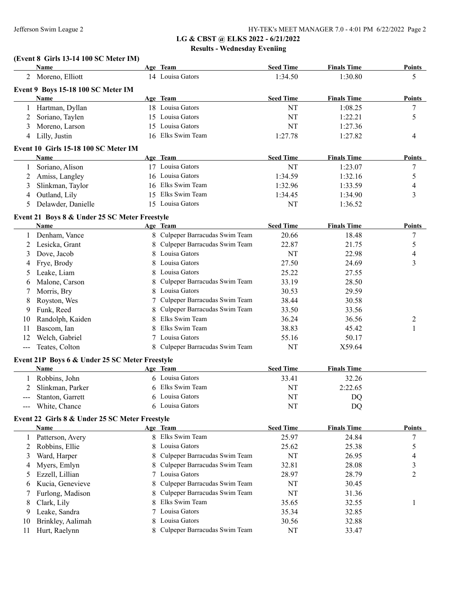# **(Event 8 Girls 13-14 100 SC Meter IM)**

| Name                 |                                                                                                                                                                                                                                                                                                                                                                                                                                                                                                                                                |                                                                                                |                                                                                                                                                                                                                                                                                                                                                                                                                                                                                                                                                                                                                                                                                                                                                                                                                                                                                                                                                                                                                                                                                                         |                                                                                                                                                                                                                                                       | <b>Points</b>                                                                                                                                                                                                                                                                                         |
|----------------------|------------------------------------------------------------------------------------------------------------------------------------------------------------------------------------------------------------------------------------------------------------------------------------------------------------------------------------------------------------------------------------------------------------------------------------------------------------------------------------------------------------------------------------------------|------------------------------------------------------------------------------------------------|---------------------------------------------------------------------------------------------------------------------------------------------------------------------------------------------------------------------------------------------------------------------------------------------------------------------------------------------------------------------------------------------------------------------------------------------------------------------------------------------------------------------------------------------------------------------------------------------------------------------------------------------------------------------------------------------------------------------------------------------------------------------------------------------------------------------------------------------------------------------------------------------------------------------------------------------------------------------------------------------------------------------------------------------------------------------------------------------------------|-------------------------------------------------------------------------------------------------------------------------------------------------------------------------------------------------------------------------------------------------------|-------------------------------------------------------------------------------------------------------------------------------------------------------------------------------------------------------------------------------------------------------------------------------------------------------|
| Moreno, Elliott<br>2 |                                                                                                                                                                                                                                                                                                                                                                                                                                                                                                                                                |                                                                                                | 1:34.50                                                                                                                                                                                                                                                                                                                                                                                                                                                                                                                                                                                                                                                                                                                                                                                                                                                                                                                                                                                                                                                                                                 | 1:30.80                                                                                                                                                                                                                                               | 5                                                                                                                                                                                                                                                                                                     |
|                      |                                                                                                                                                                                                                                                                                                                                                                                                                                                                                                                                                |                                                                                                |                                                                                                                                                                                                                                                                                                                                                                                                                                                                                                                                                                                                                                                                                                                                                                                                                                                                                                                                                                                                                                                                                                         |                                                                                                                                                                                                                                                       |                                                                                                                                                                                                                                                                                                       |
| Name                 |                                                                                                                                                                                                                                                                                                                                                                                                                                                                                                                                                |                                                                                                | <b>Seed Time</b>                                                                                                                                                                                                                                                                                                                                                                                                                                                                                                                                                                                                                                                                                                                                                                                                                                                                                                                                                                                                                                                                                        |                                                                                                                                                                                                                                                       | <b>Points</b>                                                                                                                                                                                                                                                                                         |
|                      |                                                                                                                                                                                                                                                                                                                                                                                                                                                                                                                                                |                                                                                                | NT                                                                                                                                                                                                                                                                                                                                                                                                                                                                                                                                                                                                                                                                                                                                                                                                                                                                                                                                                                                                                                                                                                      | 1:08.25                                                                                                                                                                                                                                               | 7                                                                                                                                                                                                                                                                                                     |
|                      |                                                                                                                                                                                                                                                                                                                                                                                                                                                                                                                                                |                                                                                                | NT                                                                                                                                                                                                                                                                                                                                                                                                                                                                                                                                                                                                                                                                                                                                                                                                                                                                                                                                                                                                                                                                                                      | 1:22.21                                                                                                                                                                                                                                               | 5                                                                                                                                                                                                                                                                                                     |
|                      |                                                                                                                                                                                                                                                                                                                                                                                                                                                                                                                                                |                                                                                                | NT                                                                                                                                                                                                                                                                                                                                                                                                                                                                                                                                                                                                                                                                                                                                                                                                                                                                                                                                                                                                                                                                                                      | 1:27.36                                                                                                                                                                                                                                               |                                                                                                                                                                                                                                                                                                       |
| Lilly, Justin<br>4   |                                                                                                                                                                                                                                                                                                                                                                                                                                                                                                                                                |                                                                                                | 1:27.78                                                                                                                                                                                                                                                                                                                                                                                                                                                                                                                                                                                                                                                                                                                                                                                                                                                                                                                                                                                                                                                                                                 | 1:27.82                                                                                                                                                                                                                                               | 4                                                                                                                                                                                                                                                                                                     |
|                      |                                                                                                                                                                                                                                                                                                                                                                                                                                                                                                                                                |                                                                                                |                                                                                                                                                                                                                                                                                                                                                                                                                                                                                                                                                                                                                                                                                                                                                                                                                                                                                                                                                                                                                                                                                                         |                                                                                                                                                                                                                                                       |                                                                                                                                                                                                                                                                                                       |
|                      |                                                                                                                                                                                                                                                                                                                                                                                                                                                                                                                                                |                                                                                                |                                                                                                                                                                                                                                                                                                                                                                                                                                                                                                                                                                                                                                                                                                                                                                                                                                                                                                                                                                                                                                                                                                         |                                                                                                                                                                                                                                                       | <b>Points</b>                                                                                                                                                                                                                                                                                         |
|                      |                                                                                                                                                                                                                                                                                                                                                                                                                                                                                                                                                |                                                                                                |                                                                                                                                                                                                                                                                                                                                                                                                                                                                                                                                                                                                                                                                                                                                                                                                                                                                                                                                                                                                                                                                                                         |                                                                                                                                                                                                                                                       | 7                                                                                                                                                                                                                                                                                                     |
|                      |                                                                                                                                                                                                                                                                                                                                                                                                                                                                                                                                                |                                                                                                |                                                                                                                                                                                                                                                                                                                                                                                                                                                                                                                                                                                                                                                                                                                                                                                                                                                                                                                                                                                                                                                                                                         |                                                                                                                                                                                                                                                       | 5                                                                                                                                                                                                                                                                                                     |
|                      |                                                                                                                                                                                                                                                                                                                                                                                                                                                                                                                                                |                                                                                                |                                                                                                                                                                                                                                                                                                                                                                                                                                                                                                                                                                                                                                                                                                                                                                                                                                                                                                                                                                                                                                                                                                         |                                                                                                                                                                                                                                                       | 4                                                                                                                                                                                                                                                                                                     |
|                      |                                                                                                                                                                                                                                                                                                                                                                                                                                                                                                                                                |                                                                                                |                                                                                                                                                                                                                                                                                                                                                                                                                                                                                                                                                                                                                                                                                                                                                                                                                                                                                                                                                                                                                                                                                                         |                                                                                                                                                                                                                                                       | 3                                                                                                                                                                                                                                                                                                     |
|                      |                                                                                                                                                                                                                                                                                                                                                                                                                                                                                                                                                |                                                                                                |                                                                                                                                                                                                                                                                                                                                                                                                                                                                                                                                                                                                                                                                                                                                                                                                                                                                                                                                                                                                                                                                                                         |                                                                                                                                                                                                                                                       |                                                                                                                                                                                                                                                                                                       |
|                      |                                                                                                                                                                                                                                                                                                                                                                                                                                                                                                                                                |                                                                                                |                                                                                                                                                                                                                                                                                                                                                                                                                                                                                                                                                                                                                                                                                                                                                                                                                                                                                                                                                                                                                                                                                                         |                                                                                                                                                                                                                                                       |                                                                                                                                                                                                                                                                                                       |
|                      |                                                                                                                                                                                                                                                                                                                                                                                                                                                                                                                                                |                                                                                                |                                                                                                                                                                                                                                                                                                                                                                                                                                                                                                                                                                                                                                                                                                                                                                                                                                                                                                                                                                                                                                                                                                         |                                                                                                                                                                                                                                                       |                                                                                                                                                                                                                                                                                                       |
|                      |                                                                                                                                                                                                                                                                                                                                                                                                                                                                                                                                                |                                                                                                |                                                                                                                                                                                                                                                                                                                                                                                                                                                                                                                                                                                                                                                                                                                                                                                                                                                                                                                                                                                                                                                                                                         |                                                                                                                                                                                                                                                       | <b>Points</b>                                                                                                                                                                                                                                                                                         |
|                      |                                                                                                                                                                                                                                                                                                                                                                                                                                                                                                                                                |                                                                                                |                                                                                                                                                                                                                                                                                                                                                                                                                                                                                                                                                                                                                                                                                                                                                                                                                                                                                                                                                                                                                                                                                                         |                                                                                                                                                                                                                                                       | 7                                                                                                                                                                                                                                                                                                     |
|                      |                                                                                                                                                                                                                                                                                                                                                                                                                                                                                                                                                |                                                                                                |                                                                                                                                                                                                                                                                                                                                                                                                                                                                                                                                                                                                                                                                                                                                                                                                                                                                                                                                                                                                                                                                                                         |                                                                                                                                                                                                                                                       | 5                                                                                                                                                                                                                                                                                                     |
|                      |                                                                                                                                                                                                                                                                                                                                                                                                                                                                                                                                                |                                                                                                |                                                                                                                                                                                                                                                                                                                                                                                                                                                                                                                                                                                                                                                                                                                                                                                                                                                                                                                                                                                                                                                                                                         |                                                                                                                                                                                                                                                       | 4                                                                                                                                                                                                                                                                                                     |
|                      |                                                                                                                                                                                                                                                                                                                                                                                                                                                                                                                                                |                                                                                                |                                                                                                                                                                                                                                                                                                                                                                                                                                                                                                                                                                                                                                                                                                                                                                                                                                                                                                                                                                                                                                                                                                         |                                                                                                                                                                                                                                                       | 3                                                                                                                                                                                                                                                                                                     |
|                      |                                                                                                                                                                                                                                                                                                                                                                                                                                                                                                                                                |                                                                                                |                                                                                                                                                                                                                                                                                                                                                                                                                                                                                                                                                                                                                                                                                                                                                                                                                                                                                                                                                                                                                                                                                                         |                                                                                                                                                                                                                                                       |                                                                                                                                                                                                                                                                                                       |
|                      |                                                                                                                                                                                                                                                                                                                                                                                                                                                                                                                                                |                                                                                                |                                                                                                                                                                                                                                                                                                                                                                                                                                                                                                                                                                                                                                                                                                                                                                                                                                                                                                                                                                                                                                                                                                         |                                                                                                                                                                                                                                                       |                                                                                                                                                                                                                                                                                                       |
|                      |                                                                                                                                                                                                                                                                                                                                                                                                                                                                                                                                                |                                                                                                |                                                                                                                                                                                                                                                                                                                                                                                                                                                                                                                                                                                                                                                                                                                                                                                                                                                                                                                                                                                                                                                                                                         |                                                                                                                                                                                                                                                       |                                                                                                                                                                                                                                                                                                       |
|                      |                                                                                                                                                                                                                                                                                                                                                                                                                                                                                                                                                |                                                                                                |                                                                                                                                                                                                                                                                                                                                                                                                                                                                                                                                                                                                                                                                                                                                                                                                                                                                                                                                                                                                                                                                                                         |                                                                                                                                                                                                                                                       |                                                                                                                                                                                                                                                                                                       |
|                      |                                                                                                                                                                                                                                                                                                                                                                                                                                                                                                                                                |                                                                                                |                                                                                                                                                                                                                                                                                                                                                                                                                                                                                                                                                                                                                                                                                                                                                                                                                                                                                                                                                                                                                                                                                                         |                                                                                                                                                                                                                                                       |                                                                                                                                                                                                                                                                                                       |
|                      |                                                                                                                                                                                                                                                                                                                                                                                                                                                                                                                                                |                                                                                                |                                                                                                                                                                                                                                                                                                                                                                                                                                                                                                                                                                                                                                                                                                                                                                                                                                                                                                                                                                                                                                                                                                         |                                                                                                                                                                                                                                                       | 2                                                                                                                                                                                                                                                                                                     |
|                      |                                                                                                                                                                                                                                                                                                                                                                                                                                                                                                                                                |                                                                                                |                                                                                                                                                                                                                                                                                                                                                                                                                                                                                                                                                                                                                                                                                                                                                                                                                                                                                                                                                                                                                                                                                                         |                                                                                                                                                                                                                                                       | 1                                                                                                                                                                                                                                                                                                     |
|                      |                                                                                                                                                                                                                                                                                                                                                                                                                                                                                                                                                |                                                                                                |                                                                                                                                                                                                                                                                                                                                                                                                                                                                                                                                                                                                                                                                                                                                                                                                                                                                                                                                                                                                                                                                                                         |                                                                                                                                                                                                                                                       |                                                                                                                                                                                                                                                                                                       |
|                      |                                                                                                                                                                                                                                                                                                                                                                                                                                                                                                                                                |                                                                                                |                                                                                                                                                                                                                                                                                                                                                                                                                                                                                                                                                                                                                                                                                                                                                                                                                                                                                                                                                                                                                                                                                                         |                                                                                                                                                                                                                                                       |                                                                                                                                                                                                                                                                                                       |
|                      |                                                                                                                                                                                                                                                                                                                                                                                                                                                                                                                                                |                                                                                                |                                                                                                                                                                                                                                                                                                                                                                                                                                                                                                                                                                                                                                                                                                                                                                                                                                                                                                                                                                                                                                                                                                         |                                                                                                                                                                                                                                                       |                                                                                                                                                                                                                                                                                                       |
| Name                 |                                                                                                                                                                                                                                                                                                                                                                                                                                                                                                                                                |                                                                                                | <b>Seed Time</b>                                                                                                                                                                                                                                                                                                                                                                                                                                                                                                                                                                                                                                                                                                                                                                                                                                                                                                                                                                                                                                                                                        | <b>Finals Time</b>                                                                                                                                                                                                                                    |                                                                                                                                                                                                                                                                                                       |
| Robbins, John        |                                                                                                                                                                                                                                                                                                                                                                                                                                                                                                                                                |                                                                                                | 33.41                                                                                                                                                                                                                                                                                                                                                                                                                                                                                                                                                                                                                                                                                                                                                                                                                                                                                                                                                                                                                                                                                                   | 32.26                                                                                                                                                                                                                                                 |                                                                                                                                                                                                                                                                                                       |
| Slinkman, Parker     |                                                                                                                                                                                                                                                                                                                                                                                                                                                                                                                                                |                                                                                                | NT                                                                                                                                                                                                                                                                                                                                                                                                                                                                                                                                                                                                                                                                                                                                                                                                                                                                                                                                                                                                                                                                                                      | 2:22.65                                                                                                                                                                                                                                               |                                                                                                                                                                                                                                                                                                       |
|                      |                                                                                                                                                                                                                                                                                                                                                                                                                                                                                                                                                |                                                                                                |                                                                                                                                                                                                                                                                                                                                                                                                                                                                                                                                                                                                                                                                                                                                                                                                                                                                                                                                                                                                                                                                                                         | DQ                                                                                                                                                                                                                                                    |                                                                                                                                                                                                                                                                                                       |
| White, Chance        |                                                                                                                                                                                                                                                                                                                                                                                                                                                                                                                                                |                                                                                                |                                                                                                                                                                                                                                                                                                                                                                                                                                                                                                                                                                                                                                                                                                                                                                                                                                                                                                                                                                                                                                                                                                         | DQ                                                                                                                                                                                                                                                    |                                                                                                                                                                                                                                                                                                       |
|                      |                                                                                                                                                                                                                                                                                                                                                                                                                                                                                                                                                |                                                                                                |                                                                                                                                                                                                                                                                                                                                                                                                                                                                                                                                                                                                                                                                                                                                                                                                                                                                                                                                                                                                                                                                                                         |                                                                                                                                                                                                                                                       |                                                                                                                                                                                                                                                                                                       |
| Name                 |                                                                                                                                                                                                                                                                                                                                                                                                                                                                                                                                                |                                                                                                | <b>Seed Time</b>                                                                                                                                                                                                                                                                                                                                                                                                                                                                                                                                                                                                                                                                                                                                                                                                                                                                                                                                                                                                                                                                                        | <b>Finals Time</b>                                                                                                                                                                                                                                    | <b>Points</b>                                                                                                                                                                                                                                                                                         |
| Patterson, Avery     |                                                                                                                                                                                                                                                                                                                                                                                                                                                                                                                                                |                                                                                                | 25.97                                                                                                                                                                                                                                                                                                                                                                                                                                                                                                                                                                                                                                                                                                                                                                                                                                                                                                                                                                                                                                                                                                   | 24.84                                                                                                                                                                                                                                                 | 7                                                                                                                                                                                                                                                                                                     |
| Robbins, Ellie       |                                                                                                                                                                                                                                                                                                                                                                                                                                                                                                                                                |                                                                                                | 25.62                                                                                                                                                                                                                                                                                                                                                                                                                                                                                                                                                                                                                                                                                                                                                                                                                                                                                                                                                                                                                                                                                                   | 25.38                                                                                                                                                                                                                                                 | 5                                                                                                                                                                                                                                                                                                     |
|                      |                                                                                                                                                                                                                                                                                                                                                                                                                                                                                                                                                |                                                                                                | NT                                                                                                                                                                                                                                                                                                                                                                                                                                                                                                                                                                                                                                                                                                                                                                                                                                                                                                                                                                                                                                                                                                      | 26.95                                                                                                                                                                                                                                                 | 4                                                                                                                                                                                                                                                                                                     |
| Myers, Emlyn         |                                                                                                                                                                                                                                                                                                                                                                                                                                                                                                                                                |                                                                                                | 32.81                                                                                                                                                                                                                                                                                                                                                                                                                                                                                                                                                                                                                                                                                                                                                                                                                                                                                                                                                                                                                                                                                                   | 28.08                                                                                                                                                                                                                                                 | 3                                                                                                                                                                                                                                                                                                     |
|                      |                                                                                                                                                                                                                                                                                                                                                                                                                                                                                                                                                |                                                                                                | 28.97                                                                                                                                                                                                                                                                                                                                                                                                                                                                                                                                                                                                                                                                                                                                                                                                                                                                                                                                                                                                                                                                                                   | 28.79                                                                                                                                                                                                                                                 | 2                                                                                                                                                                                                                                                                                                     |
|                      |                                                                                                                                                                                                                                                                                                                                                                                                                                                                                                                                                |                                                                                                |                                                                                                                                                                                                                                                                                                                                                                                                                                                                                                                                                                                                                                                                                                                                                                                                                                                                                                                                                                                                                                                                                                         |                                                                                                                                                                                                                                                       |                                                                                                                                                                                                                                                                                                       |
|                      | 8                                                                                                                                                                                                                                                                                                                                                                                                                                                                                                                                              | Culpeper Barracudas Swim Team                                                                  |                                                                                                                                                                                                                                                                                                                                                                                                                                                                                                                                                                                                                                                                                                                                                                                                                                                                                                                                                                                                                                                                                                         |                                                                                                                                                                                                                                                       |                                                                                                                                                                                                                                                                                                       |
|                      |                                                                                                                                                                                                                                                                                                                                                                                                                                                                                                                                                |                                                                                                | 35.65                                                                                                                                                                                                                                                                                                                                                                                                                                                                                                                                                                                                                                                                                                                                                                                                                                                                                                                                                                                                                                                                                                   | 32.55                                                                                                                                                                                                                                                 | 1                                                                                                                                                                                                                                                                                                     |
|                      | 7                                                                                                                                                                                                                                                                                                                                                                                                                                                                                                                                              | Louisa Gators                                                                                  |                                                                                                                                                                                                                                                                                                                                                                                                                                                                                                                                                                                                                                                                                                                                                                                                                                                                                                                                                                                                                                                                                                         |                                                                                                                                                                                                                                                       |                                                                                                                                                                                                                                                                                                       |
|                      | 8                                                                                                                                                                                                                                                                                                                                                                                                                                                                                                                                              |                                                                                                | 30.56                                                                                                                                                                                                                                                                                                                                                                                                                                                                                                                                                                                                                                                                                                                                                                                                                                                                                                                                                                                                                                                                                                   |                                                                                                                                                                                                                                                       |                                                                                                                                                                                                                                                                                                       |
| Hurt, Raelynn        |                                                                                                                                                                                                                                                                                                                                                                                                                                                                                                                                                |                                                                                                | NT                                                                                                                                                                                                                                                                                                                                                                                                                                                                                                                                                                                                                                                                                                                                                                                                                                                                                                                                                                                                                                                                                                      | 33.47                                                                                                                                                                                                                                                 |                                                                                                                                                                                                                                                                                                       |
|                      | Hartman, Dyllan<br>Soriano, Taylen<br>Moreno, Larson<br>Name<br>Soriano, Alison<br>Amiss, Langley<br>Slinkman, Taylor<br>Outland, Lily<br>Delawder, Danielle<br>Name<br>Denham, Vance<br>Lesicka, Grant<br>Dove, Jacob<br>Frye, Brody<br>Leake, Liam<br>Malone, Carson<br>Morris, Bry<br>Royston, Wes<br>Funk, Reed<br>Randolph, Kaiden<br>Bascom, Ian<br>Welch, Gabriel<br>Teates, Colton<br>Stanton, Garrett<br>Ward, Harper<br>Ezzell, Lillian<br>Kucia, Genevieve<br>Furlong, Madison<br>Clark, Lily<br>Leake, Sandra<br>Brinkley, Aalimah | Event 9 Boys 15-18 100 SC Meter IM<br>Event 10 Girls 15-18 100 SC Meter IM<br>8<br>8<br>8<br>7 | Age Team<br>14 Louisa Gators<br>Age Team<br>18 Louisa Gators<br>15 Louisa Gators<br>15 Louisa Gators<br>16 Elks Swim Team<br>Age Team<br>17 Louisa Gators<br>16 Louisa Gators<br>16 Elks Swim Team<br>15 Elks Swim Team<br>15 Louisa Gators<br>Event 21 Boys 8 & Under 25 SC Meter Freestyle<br>Age Team<br>8 Culpeper Barracudas Swim Team<br>8 Culpeper Barracudas Swim Team<br>8 Louisa Gators<br>8 Louisa Gators<br>Louisa Gators<br>Culpeper Barracudas Swim Team<br>8 Louisa Gators<br>Culpeper Barracudas Swim Team<br>Culpeper Barracudas Swim Team<br>Elks Swim Team<br>Elks Swim Team<br>Louisa Gators<br>8 Culpeper Barracudas Swim Team<br>Event 21P Boys 6 & Under 25 SC Meter Freestyle<br>Age Team<br>6 Louisa Gators<br>6 Elks Swim Team<br>6 Louisa Gators<br>6 Louisa Gators<br>Event 22 Girls 8 & Under 25 SC Meter Freestyle<br>Age Team<br>8 Elks Swim Team<br>8 Louisa Gators<br>8 Culpeper Barracudas Swim Team<br>8 Culpeper Barracudas Swim Team<br>7 Louisa Gators<br>8 Culpeper Barracudas Swim Team<br>8 Elks Swim Team<br>Louisa Gators<br>8 Culpeper Barracudas Swim Team | <b>Seed Time</b><br><b>Seed Time</b><br>NT<br>1:34.59<br>1:32.96<br>1:34.45<br>NT<br><b>Seed Time</b><br>20.66<br>22.87<br>NT<br>27.50<br>25.22<br>33.19<br>30.53<br>38.44<br>33.50<br>36.24<br>38.83<br>55.16<br>NT<br>NT<br>NT<br>NT<br>NT<br>35.34 | <b>Finals Time</b><br><b>Finals Time</b><br><b>Finals Time</b><br>1:23.07<br>1:32.16<br>1:33.59<br>1:34.90<br>1:36.52<br><b>Finals Time</b><br>18.48<br>21.75<br>22.98<br>24.69<br>27.55<br>28.50<br>29.59<br>30.58<br>33.56<br>36.56<br>45.42<br>50.17<br>X59.64<br>30.45<br>31.36<br>32.85<br>32.88 |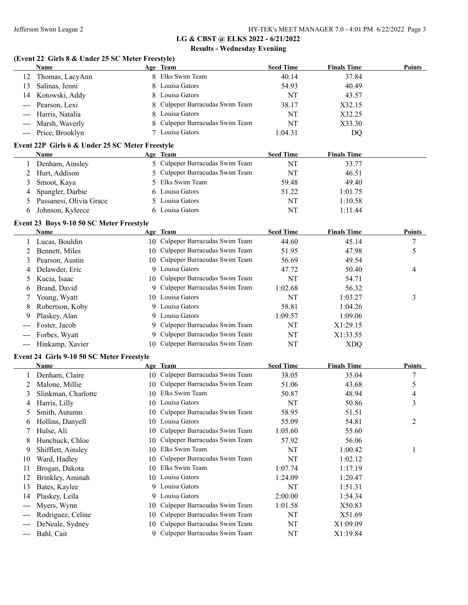#### **(Event 22 Girls 8 & Under 25 SC Meter Freestyle)**

|                                                 | <b>Name</b>             |   | Age Team                        | <b>Seed Time</b> | <b>Finals Time</b> | <b>Points</b> |
|-------------------------------------------------|-------------------------|---|---------------------------------|------------------|--------------------|---------------|
| 12                                              | Thomas, LacyAnn         |   | 8 Elks Swim Team                | 40.14            | 37.84              |               |
| 13                                              | Salinas, Jenni          |   | 8 Louisa Gators                 | 54.93            | 40.49              |               |
| 14                                              | Kotowski, Addy          |   | 8 Louisa Gators                 | NT               | 43.57              |               |
| $\sim$ $\sim$ $\sim$                            | Pearson, Lexi           |   | 8 Culpeper Barracudas Swim Team | 38.17            | X32.15             |               |
|                                                 | Harris, Natalia         |   | 8 Louisa Gators                 | NT               | X32.25             |               |
| $\qquad \qquad -$                               | Marsh, Waverly          |   | 8 Culpeper Barracudas Swim Team | NT               | X33.30             |               |
|                                                 | Price, Brooklyn         |   | Louisa Gators                   | 1:04.31          | DQ                 |               |
| Event 22P Girls 6 & Under 25 SC Meter Freestyle |                         |   |                                 |                  |                    |               |
|                                                 | Name                    |   | Age Team                        | <b>Seed Time</b> | <b>Finals Time</b> |               |
|                                                 | Denham, Ainsley         |   | 5 Culpeper Barracudas Swim Team | NT               | 33.77              |               |
|                                                 | Hurt, Addison           |   | 5 Culpeper Barracudas Swim Team | NT               | 46.51              |               |
| 3                                               | Smoot, Kaya             |   | 5 Elks Swim Team                | 59.48            | 49.40              |               |
| 4                                               | Spangler, Darbie        |   | 6 Louisa Gators                 | 51.22            | 1:01.75            |               |
|                                                 | Passanesi, Olivia Grace |   | 5 Louisa Gators                 | NT               | 1:10.58            |               |
| 6                                               | Johnson, Kyleece        | 6 | Louisa Gators                   | NT               | 1:11.44            |               |

#### **Event 23 Boys 9-10 50 SC Meter Freestyle**

|   | <b>Name</b>         | Age Team                         | <b>Seed Time</b> | <b>Finals Time</b> | <b>Points</b> |
|---|---------------------|----------------------------------|------------------|--------------------|---------------|
|   | Lucas, Bouldin      | 10 Culpeper Barracudas Swim Team | 44.60            | 45.14              |               |
|   | Bennett, Miles      | 10 Culpeper Barracudas Swim Team | 51.95            | 47.98              |               |
| 3 | Pearson, Austin     | 10 Culpeper Barracudas Swim Team | 56.69            | 49.54              |               |
|   | 4 Delawder, Eric    | 9 Louisa Gators                  | 47.72            | 50.40              | 4             |
|   | 5 Kucia, Isaac      | 10 Culpeper Barracudas Swim Team | NT               | 54.71              |               |
| 6 | Brand, David        | 9 Culpeper Barracudas Swim Team  | 1:02.68          | 56.32              |               |
|   | Young, Wyatt        | 10 Louisa Gators                 | NT               | 1:03.27            | 3             |
| 8 | Robertson, Koby     | 9 Louisa Gators                  | 58.81            | 1:04.26            |               |
| 9 | Plaskey, Alan       | 9 Louisa Gators                  | 1:09.57          | 1:09.06            |               |
|   | Foster, Jacob       | 9 Culpeper Barracudas Swim Team  | NT               | X1:29.15           |               |
|   | Forbes, Wyatt       | 9 Culpeper Barracudas Swim Team  | NT               | X1:33.55           |               |
|   | --- Hinkamp, Xavier | 10 Culpeper Barracudas Swim Team | NT               | XDO                |               |

#### **Event 24 Girls 9-10 50 SC Meter Freestyle**

|                          | <b>Name</b>         |     | Age Team                         | <b>Seed Time</b> | <b>Finals Time</b> | <b>Points</b> |
|--------------------------|---------------------|-----|----------------------------------|------------------|--------------------|---------------|
|                          | Denham, Claire      |     | 10 Culpeper Barracudas Swim Team | 38.05            | 35.04              | −             |
|                          | Malone, Millie      | 10- | Culpeper Barracudas Swim Team    | 51.06            | 43.68              | 5             |
| 3                        | Slinkman, Charlotte | 10  | Elks Swim Team                   | 50.87            | 48.94              | 4             |
| 4                        | Harris, Lilly       | 10. | Louisa Gators                    | NT               | 50.86              | 3             |
| 5                        | Smith, Autumn       | 10- | Culpeper Barracudas Swim Team    | 58.95            | 51.51              |               |
| 6                        | Hollins, Danyell    | 10- | Louisa Gators                    | 55.09            | 54.81              | 2             |
|                          | Hulse, Ali          | 10- | Culpeper Barracudas Swim Team    | 1:05.60          | 55.60              |               |
| 8                        | Hunchuck, Chloe     | 10. | Culpeper Barracudas Swim Team    | 57.92            | 56.06              |               |
| 9                        | Shifflett, Ainsley  | 10. | Elks Swim Team                   | NT               | 1:00.42            |               |
| 10                       | Ward, Hadley        | 10. | Culpeper Barracudas Swim Team    | NT               | 1:02.12            |               |
| 11                       | Brogan, Dakota      | 10  | Elks Swim Team                   | 1:07.74          | 1:17.19            |               |
| 12                       | Brinkley, Aminah    |     | 10 Louisa Gators                 | 1:24.09          | 1:20.47            |               |
| 13                       | Bates, Kaylee       | 9.  | Louisa Gators                    | NT               | 1:51.31            |               |
| 14                       | Plaskey, Leila      | 9.  | Louisa Gators                    | 2:00.00          | 1:54.34            |               |
| $\qquad \qquad \qquad -$ | Myers, Wynn         | 10- | Culpeper Barracudas Swim Team    | 1:01.58          | X50.83             |               |
|                          | Rodriguez, Celine   | 10- | Culpeper Barracudas Swim Team    | NT               | X51.69             |               |
|                          | DeNeale, Sydney     | 10- | Culpeper Barracudas Swim Team    | NT               | X1:09.09           |               |
| $---$                    | Bahl, Cait          |     | Culpeper Barracudas Swim Team    | NT               | X1:19.84           |               |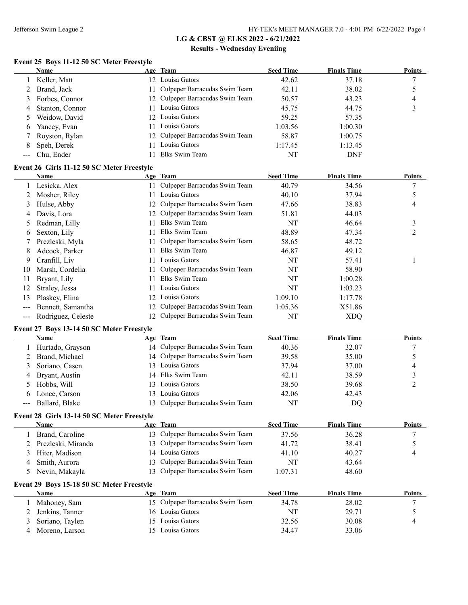#### **Event 25 Boys 11-12 50 SC Meter Freestyle**

|   | Name             | Age Team                         | <b>Seed Time</b> | <b>Finals Time</b> | <b>Points</b> |
|---|------------------|----------------------------------|------------------|--------------------|---------------|
|   | 1 Keller, Matt   | 12 Louisa Gators                 | 42.62            | 37.18              |               |
|   | Brand, Jack      | 11 Culpeper Barracudas Swim Team | 42.11            | 38.02              |               |
|   | 3 Forbes, Connor | 12 Culpeper Barracudas Swim Team | 50.57            | 43.23              | 4             |
| 4 | Stanton, Connor  | 11 Louisa Gators                 | 45.75            | 44.75              |               |
|   | Weidow, David    | 12 Louisa Gators                 | 59.25            | 57.35              |               |
| 6 | Yancey, Evan     | 11 Louisa Gators                 | 1:03.56          | 1:00.30            |               |
|   | 7 Royston, Rylan | 12 Culpeper Barracudas Swim Team | 58.87            | 1:00.75            |               |
| 8 | Speh, Derek      | Louisa Gators                    | 1:17.45          | 1:13.45            |               |
|   | --- Chu, Ender   | Elks Swim Team                   | NT               | <b>DNF</b>         |               |

#### **Event 26 Girls 11-12 50 SC Meter Freestyle**

|    | Name               |     | Age Team                         | <b>Seed Time</b> | <b>Finals Time</b> | <b>Points</b> |
|----|--------------------|-----|----------------------------------|------------------|--------------------|---------------|
|    | Lesicka, Alex      | 11. | Culpeper Barracudas Swim Team    | 40.79            | 34.56              | 7             |
|    | Mosher, Riley      |     | Louisa Gators                    | 40.10            | 37.94              |               |
| 3  | Hulse, Abby        |     | 12 Culpeper Barracudas Swim Team | 47.66            | 38.83              | 4             |
| 4  | Davis, Lora        |     | 12 Culpeper Barracudas Swim Team | 51.81            | 44.03              |               |
| 5  | Redman, Lilly      | 11  | Elks Swim Team                   | NT               | 46.64              | 3             |
| 6  | Sexton, Lily       | 11  | Elks Swim Team                   | 48.89            | 47.34              | 2             |
|    | Prezleski, Myla    |     | Culpeper Barracudas Swim Team    | 58.65            | 48.72              |               |
| 8  | Adcock, Parker     | 11. | Elks Swim Team                   | 46.87            | 49.12              |               |
| 9  | Cranfill, Liv      | 11  | Louisa Gators                    | NT               | 57.41              |               |
| 10 | Marsh, Cordelia    |     | Culpeper Barracudas Swim Team    | NT               | 58.90              |               |
| 11 | Bryant, Lily       | 11  | Elks Swim Team                   | NT               | 1:00.28            |               |
| 12 | Straley, Jessa     | 11. | Louisa Gators                    | NT               | 1:03.23            |               |
| 13 | Plaskey, Elina     | 12  | Louisa Gators                    | 1:09.10          | 1:17.78            |               |
|    | Bennett, Samantha  | 12. | Culpeper Barracudas Swim Team    | 1:05.36          | X51.86             |               |
|    | Rodriguez, Celeste |     | 12 Culpeper Barracudas Swim Team | NT               | <b>XDQ</b>         |               |

#### **Event 27 Boys 13-14 50 SC Meter Freestyle**

|                                                                                                                                                                                                                                                                                                                                                                                                                                                                            | <b>Name</b>      | Age Team                         | <b>Seed Time</b> | <b>Finals Time</b> | <b>Points</b> |
|----------------------------------------------------------------------------------------------------------------------------------------------------------------------------------------------------------------------------------------------------------------------------------------------------------------------------------------------------------------------------------------------------------------------------------------------------------------------------|------------------|----------------------------------|------------------|--------------------|---------------|
|                                                                                                                                                                                                                                                                                                                                                                                                                                                                            | Hurtado, Grayson | 14 Culpeper Barracudas Swim Team | 40.36            | 32.07              |               |
|                                                                                                                                                                                                                                                                                                                                                                                                                                                                            | Brand, Michael   | 14 Culpeper Barracudas Swim Team | 39.58            | 35.00              |               |
|                                                                                                                                                                                                                                                                                                                                                                                                                                                                            | Soriano, Casen   | 13 Louisa Gators                 | 37.94            | 37.00              | 4             |
| 4                                                                                                                                                                                                                                                                                                                                                                                                                                                                          | Bryant, Austin   | 14 Elks Swim Team                | 42.11            | 38.59              |               |
|                                                                                                                                                                                                                                                                                                                                                                                                                                                                            | Hobbs, Will      | 13 Louisa Gators                 | 38.50            | 39.68              |               |
| 6                                                                                                                                                                                                                                                                                                                                                                                                                                                                          | Lonce, Carson    | 13 Louisa Gators                 | 42.06            | 42.43              |               |
| $\frac{1}{2} \left( \frac{1}{2} \right) \left( \frac{1}{2} \right) \left( \frac{1}{2} \right) \left( \frac{1}{2} \right) \left( \frac{1}{2} \right) \left( \frac{1}{2} \right) \left( \frac{1}{2} \right) \left( \frac{1}{2} \right) \left( \frac{1}{2} \right) \left( \frac{1}{2} \right) \left( \frac{1}{2} \right) \left( \frac{1}{2} \right) \left( \frac{1}{2} \right) \left( \frac{1}{2} \right) \left( \frac{1}{2} \right) \left( \frac{1}{2} \right) \left( \frac$ | Ballard, Blake   | 13 Culpeper Barracudas Swim Team | NT               | DO                 |               |

## **Event 28 Girls 13-14 50 SC Meter Freestyle**

| <b>Name</b>          | Age Team                         | <b>Seed Time</b> | <b>Finals Time</b> | <b>Points</b> |
|----------------------|----------------------------------|------------------|--------------------|---------------|
| Brand, Caroline      | 13 Culpeper Barracudas Swim Team | 37.56            | 36.28              |               |
| 2 Prezleski, Miranda | 13 Culpeper Barracudas Swim Team | 41.72            | 38.41              |               |
| 3 Hiter, Madison     | 14 Louisa Gators                 | 41.10            | 40.27              |               |
| Smith, Aurora        | 13 Culpeper Barracudas Swim Team | NT               | 43.64              |               |
| Nevin, Makayla       | 13 Culpeper Barracudas Swim Team | 1:07.31          | 48.60              |               |

#### **Event 29 Boys 15-18 50 SC Meter Freestyle**

| <b>Name</b>       | Age Team                         | Seed Time | <b>Finals Time</b> | Points |
|-------------------|----------------------------------|-----------|--------------------|--------|
| Mahoney, Sam      | 15 Culpeper Barracudas Swim Team | 34.78     | 28.02              |        |
| 2 Jenkins, Tanner | 16 Louisa Gators                 | NT        | 29.71              |        |
| 3 Soriano, Taylen | 15 Louisa Gators                 | 32.56     | 30.08              |        |
| Moreno, Larson    | 15 Louisa Gators                 | 34.47     | 33.06              |        |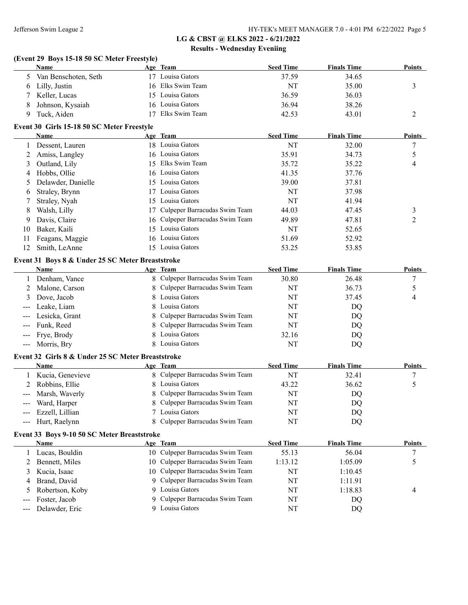#### **(Event 29 Boys 15-18 50 SC Meter Freestyle)**

|   | Name                   | Age Team          | <b>Seed Time</b> | <b>Finals Time</b> | <b>Points</b> |
|---|------------------------|-------------------|------------------|--------------------|---------------|
|   | 5 Van Benschoten, Seth | 17 Louisa Gators  | 37.59            | 34.65              |               |
|   | 6 Lilly, Justin        | 16 Elks Swim Team | NT               | 35.00              |               |
|   | 7 Keller, Lucas        | 15 Louisa Gators  | 36.59            | 36.03              |               |
| 8 | Johnson, Kysaiah       | 16 Louisa Gators  | 36.94            | 38.26              |               |
|   | Tuck, Aiden            | Elks Swim Team    | 42.53            | 43.01              |               |

#### **Event 30 Girls 15-18 50 SC Meter Freestyle**

|     | Name                 | Age Team                         | <b>Seed Time</b> | <b>Finals Time</b> | <b>Points</b> |
|-----|----------------------|----------------------------------|------------------|--------------------|---------------|
|     | Dessent, Lauren      | 18 Louisa Gators                 | NT               | 32.00              |               |
|     | 2 Amiss, Langley     | 16 Louisa Gators                 | 35.91            | 34.73              |               |
| 3   | Outland, Lily        | 15 Elks Swim Team                | 35.72            | 35.22              | 4             |
|     | 4 Hobbs, Ollie       | 16 Louisa Gators                 | 41.35            | 37.76              |               |
|     | 5 Delawder, Danielle | 15 Louisa Gators                 | 39.00            | 37.81              |               |
| 6   | Straley, Brynn       | 17 Louisa Gators                 | NT               | 37.98              |               |
|     | Straley, Nyah        | 15 Louisa Gators                 | NT               | 41.94              |               |
| 8   | Walsh, Lilly         | 17 Culpeper Barracudas Swim Team | 44.03            | 47.45              |               |
| 9   | Davis, Claire        | 16 Culpeper Barracudas Swim Team | 49.89            | 47.81              | 2             |
| 10  | Baker, Kaili         | 15 Louisa Gators                 | NT               | 52.65              |               |
| 11  | Feagans, Maggie      | 16 Louisa Gators                 | 51.69            | 52.92              |               |
| 12. | Smith, LeAnne        | 15 Louisa Gators                 | 53.25            | 53.85              |               |

#### **Event 31 Boys 8 & Under 25 SC Meter Breaststroke**

| <b>Name</b>        | Age Team                        | <b>Seed Time</b> | <b>Finals Time</b> | <b>Points</b> |
|--------------------|---------------------------------|------------------|--------------------|---------------|
| Denham, Vance      | 8 Culpeper Barracudas Swim Team | 30.80            | 26.48              |               |
| 2 Malone, Carson   | 8 Culpeper Barracudas Swim Team | NT               | 36.73              |               |
| 3 Dove, Jacob      | 8 Louisa Gators                 | NT               | 37.45              | 4             |
| --- Leake, Liam    | 8 Louisa Gators                 | NT               | DO                 |               |
| --- Lesicka, Grant | 8 Culpeper Barracudas Swim Team | NT               | DQ                 |               |
| --- Funk, Reed     | 8 Culpeper Barracudas Swim Team | NT               | DQ                 |               |
| --- Frye, Brody    | 8 Louisa Gators                 | 32.16            | DQ                 |               |
| --- Morris, Bry    | 8 Louisa Gators                 | NT               | DQ                 |               |

#### **Event 32 Girls 8 & Under 25 SC Meter Breaststroke**

| <b>Name</b>         | Age Team                        | <b>Seed Time</b> | <b>Finals Time</b> | <b>Points</b> |
|---------------------|---------------------------------|------------------|--------------------|---------------|
| Kucia, Genevieve    | 8 Culpeper Barracudas Swim Team | NT               | 32.41              |               |
| 2 Robbins, Ellie    | 8 Louisa Gators                 | 43.22            | 36.62              |               |
| --- Marsh, Waverly  | 8 Culpeper Barracudas Swim Team | NT               | DQ                 |               |
| --- Ward, Harper    | 8 Culpeper Barracudas Swim Team | NT               | DQ                 |               |
| --- Ezzell, Lillian | 7 Louisa Gators                 | NT               | DQ                 |               |
| --- Hurt, Raelynn   | 8 Culpeper Barracudas Swim Team | NT               | DQ                 |               |

#### **Event 33 Boys 9-10 50 SC Meter Breaststroke**

| Name               |    | Age Team                         | <b>Seed Time</b> | <b>Finals Time</b> | <b>Points</b> |
|--------------------|----|----------------------------------|------------------|--------------------|---------------|
| Lucas, Bouldin     |    | 10 Culpeper Barracudas Swim Team | 55.13            | 56.04              |               |
| 2 Bennett, Miles   |    | 10 Culpeper Barracudas Swim Team | 1:13.12          | 1:05.09            |               |
| 3 Kucia, Isaac     |    | 10 Culpeper Barracudas Swim Team | NT               | 1:10.45            |               |
| 4 Brand, David     |    | 9 Culpeper Barracudas Swim Team  | NT               | 1:11.91            |               |
| 5 Robertson, Koby  | Q. | Louisa Gators                    | NT               | 1:18.83            | 4             |
| --- Foster, Jacob  |    | 9 Culpeper Barracudas Swim Team  | NT               | DO                 |               |
| --- Delawder, Eric |    | Louisa Gators                    | NT               | DQ                 |               |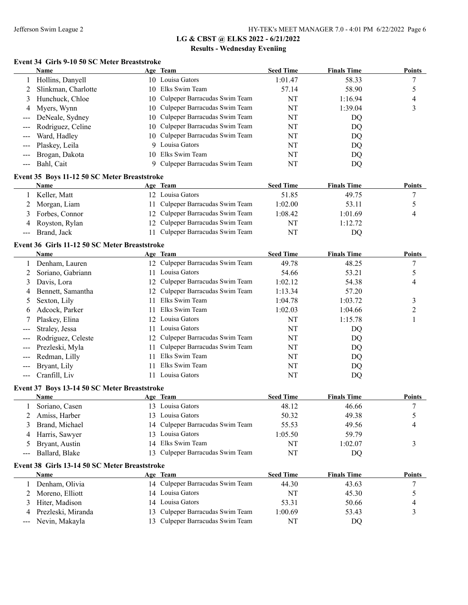#### **Event 34 Girls 9-10 50 SC Meter Breaststroke**

|                     | <b>Name</b>           | Age Team                         | <b>Seed Time</b> | <b>Finals Time</b> | Points |
|---------------------|-----------------------|----------------------------------|------------------|--------------------|--------|
|                     | Hollins, Danyell      | 10 Louisa Gators                 | 1:01.47          | 58.33              |        |
|                     | Slinkman, Charlotte   | 10 Elks Swim Team                | 57.14            | 58.90              |        |
|                     | Hunchuck, Chloe       | 10 Culpeper Barracudas Swim Team | NT               | 1:16.94            | 4      |
|                     | 4 Myers, Wynn         | 10 Culpeper Barracudas Swim Team | NT               | 1:39.04            |        |
|                     | --- DeNeale, Sydney   | 10 Culpeper Barracudas Swim Team | NT               | DQ                 |        |
|                     | --- Rodriguez, Celine | 10 Culpeper Barracudas Swim Team | NT               | DQ                 |        |
|                     | --- Ward, Hadley      | 10 Culpeper Barracudas Swim Team | NT               | DQ                 |        |
|                     | --- Plaskey, Leila    | 9 Louisa Gators                  | NT               | DQ                 |        |
| $\qquad \qquad - -$ | Brogan, Dakota        | 10 Elks Swim Team                | NT               | DO                 |        |
|                     | Bahl, Cait            | 9 Culpeper Barracudas Swim Team  | NT               | DQ                 |        |

## **Event 35 Boys 11-12 50 SC Meter Breaststroke**

| Name             | Age Team                         | <b>Seed Time</b> | <b>Finals Time</b> | <b>Points</b> |
|------------------|----------------------------------|------------------|--------------------|---------------|
| Keller, Matt     | 12 Louisa Gators                 | 51.85            | 49.75              |               |
| 2 Morgan, Liam   | 11 Culpeper Barracudas Swim Team | 1:02.00          | 53.11              |               |
| 3 Forbes, Connor | 12 Culpeper Barracudas Swim Team | 1:08.42          | 1:01.69            |               |
| 4 Royston, Rylan | 12 Culpeper Barracudas Swim Team | NT               | 1:12.72            |               |
| --- Brand, Jack  | Culpeper Barracudas Swim Team    | NT               | DQ                 |               |

#### **Event 36 Girls 11-12 50 SC Meter Breaststroke**

|                                                                                                                                                                                                                                                                                                                                                                                                                                                                            | Name               |     | Age Team                         | <b>Seed Time</b> | <b>Finals Time</b> | <b>Points</b> |
|----------------------------------------------------------------------------------------------------------------------------------------------------------------------------------------------------------------------------------------------------------------------------------------------------------------------------------------------------------------------------------------------------------------------------------------------------------------------------|--------------------|-----|----------------------------------|------------------|--------------------|---------------|
|                                                                                                                                                                                                                                                                                                                                                                                                                                                                            | Denham, Lauren     |     | 12 Culpeper Barracudas Swim Team | 49.78            | 48.25              | ┑             |
|                                                                                                                                                                                                                                                                                                                                                                                                                                                                            | Soriano, Gabriann  | 11. | Louisa Gators                    | 54.66            | 53.21              |               |
| 3                                                                                                                                                                                                                                                                                                                                                                                                                                                                          | Davis, Lora        |     | 12 Culpeper Barracudas Swim Team | 1:02.12          | 54.38              | 4             |
| 4                                                                                                                                                                                                                                                                                                                                                                                                                                                                          | Bennett, Samantha  |     | 12 Culpeper Barracudas Swim Team | 1:13.34          | 57.20              |               |
|                                                                                                                                                                                                                                                                                                                                                                                                                                                                            | Sexton, Lily       | 11. | Elks Swim Team                   | 1:04.78          | 1:03.72            | 3             |
| b                                                                                                                                                                                                                                                                                                                                                                                                                                                                          | Adcock, Parker     | 11. | Elks Swim Team                   | 1:02.03          | 1:04.66            |               |
|                                                                                                                                                                                                                                                                                                                                                                                                                                                                            | Plaskey, Elina     |     | 12 Louisa Gators                 | NT               | 1:15.78            |               |
| $\qquad \qquad - -$                                                                                                                                                                                                                                                                                                                                                                                                                                                        | Straley, Jessa     | 11. | Louisa Gators                    | NT               | DQ                 |               |
| $\qquad \qquad - -$                                                                                                                                                                                                                                                                                                                                                                                                                                                        | Rodriguez, Celeste |     | 12 Culpeper Barracudas Swim Team | NT               | DQ                 |               |
| $---$                                                                                                                                                                                                                                                                                                                                                                                                                                                                      | Prezleski, Myla    |     | 11 Culpeper Barracudas Swim Team | NT               | DQ                 |               |
|                                                                                                                                                                                                                                                                                                                                                                                                                                                                            | --- Redman, Lilly  | 11  | Elks Swim Team                   | NT               | DQ                 |               |
| $\frac{1}{2} \left( \frac{1}{2} \right) \left( \frac{1}{2} \right) \left( \frac{1}{2} \right) \left( \frac{1}{2} \right) \left( \frac{1}{2} \right) \left( \frac{1}{2} \right) \left( \frac{1}{2} \right) \left( \frac{1}{2} \right) \left( \frac{1}{2} \right) \left( \frac{1}{2} \right) \left( \frac{1}{2} \right) \left( \frac{1}{2} \right) \left( \frac{1}{2} \right) \left( \frac{1}{2} \right) \left( \frac{1}{2} \right) \left( \frac{1}{2} \right) \left( \frac$ | Bryant, Lily       | 11. | Elks Swim Team                   | NT               | DQ                 |               |
| $\qquad \qquad \cdots$                                                                                                                                                                                                                                                                                                                                                                                                                                                     | Cranfill, Liv      |     | Louisa Gators                    | NT               | DQ                 |               |
|                                                                                                                                                                                                                                                                                                                                                                                                                                                                            |                    |     |                                  |                  |                    |               |

#### **Event 37 Boys 13-14 50 SC Meter Breaststroke**

| <b>Name</b>                                   | Age Team                         | <b>Seed Time</b> | <b>Finals Time</b> | <b>Points</b> |
|-----------------------------------------------|----------------------------------|------------------|--------------------|---------------|
| Soriano, Casen                                | 13 Louisa Gators                 | 48.12            | 46.66              |               |
| Amiss, Harber                                 | 13 Louisa Gators                 | 50.32            | 49.38              |               |
| Brand, Michael                                | 14 Culpeper Barracudas Swim Team | 55.53            | 49.56              | 4             |
| 4 Harris, Sawyer                              | 13 Louisa Gators                 | 1:05.50          | 59.79              |               |
| 5 Bryant, Austin                              | 14 Elks Swim Team                | NT               | 1:02.07            |               |
| --- Ballard, Blake                            | 13 Culpeper Barracudas Swim Team | NT               | DQ                 |               |
| Event 38 Girls 13-14 50 SC Meter Breaststroke |                                  |                  |                    |               |
| <b>Name</b>                                   | Age Team                         | <b>Seed Time</b> | <b>Finals Time</b> | <b>Points</b> |
| Denham, Olivia                                | 14 Culpeper Barracudas Swim Team | 44.30            | 43.63              |               |
| 2 Moreno, Elliott                             | 14 Louisa Gators                 | NT               | 45.30              |               |

| $\mathcal{L}$ indicate, $\mathcal{L}$ indic | $1 +$ Louisa Gators              | .       | $T_{\rm t}$ |  |
|---------------------------------------------|----------------------------------|---------|-------------|--|
| 3 Hiter, Madison                            | 14 Louisa Gators                 | 53.31   | 50.66       |  |
| 4 Prezleski, Miranda                        | 13 Culpeper Barracudas Swim Team | 1:00.69 | 53.43       |  |
| --- Nevin, Makayla                          | 13 Culpeper Barracudas Swim Team | NΊ      | DC          |  |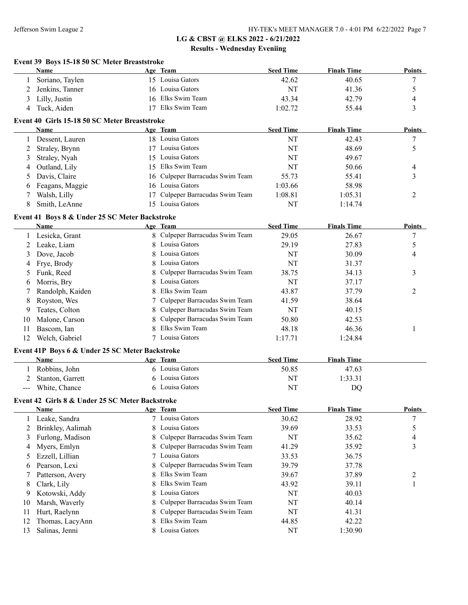## **Event 39 Boys 15-18 50 SC Meter Breaststroke Name Age Team Seed Time Finals Time Points** 1 Soriano, Taylen 15 Louisa Gators 42.62 40.65 7 2 Jenkins, Tanner 16 Louisa Gators 19 NT 41.36 5 3 Lilly, Justin 16 Elks Swim Team 43.34 42.79 4 4 Tuck, Aiden 17 Elks Swim Team 1:02.72 55.44 3 **Event 40 Girls 15-18 50 SC Meter Breaststroke Name Age Team Seed Time Finals Time Points** 1 Dessent, Lauren 18 Louisa Gators NT 42.43 7 2 Straley, Brynn 17 Louisa Gators NT 48.69 5 3 Straley, Nyah 15 Louisa Gators NT 49.67 4 Outland, Lily 15 Elks Swim Team 15 NT 50.66 4 5 Davis, Claire 16 Culpeper Barracudas Swim Team 55.73 55.41 3 6 Feagans, Maggie 16 Louisa Gators 1:03.66 58.98 7 Walsh, Lilly 17 Culpeper Barracudas Swim Team 1:08.81 1:05.31 2 8 Smith, LeAnne 15 Louisa Gators 15 NT 1:14.74 **Event 41 Boys 8 & Under 25 SC Meter Backstroke Name Age Team Seed Time Finals Time Points** 1 Lesicka, Grant 8 Culpeper Barracudas Swim Team 29.05 26.67 7 2 Leake, Liam 8 Louisa Gators 29.19 27.83 5 3 Dove, Jacob 8 Louisa Gators 19 NT 30.09 4 4 Frye, Brody 8 Louisa Gators NT 31.37 5 Funk, Reed 8 Culpeper Barracudas Swim Team 38.75 34.13 3 6 Morris, Bry 8 Louisa Gators NT 37.17 7 Randolph, Kaiden 8 Elks Swim Team 43.87 37.79 37.79 2 8 Royston, Wes 7 Culpeper Barracudas Swim Team 41.59 38.64 9 Teates, Colton 8 Culpeper Barracudas Swim Team NT 40.15 10 Malone, Carson 8 Culpeper Barracudas Swim Team 50.80 42.53 11 Bascom, Ian 18 Clks Swim Team 18 and 18 and 18 and 18 and 18 and 18 and 18 and 18 and 18 and 18 and 18 and 1 12 Welch, Gabriel 2012 7 Louisa Gators 1:17.71 1:24.84 **Event 41P Boys 6 & Under 25 SC Meter Backstroke Age Team Seed Time Finals Time** 1 Robbins, John 6 Louisa Gators 50.85 47.63 2 Stanton, Garrett 6 Louisa Gators 1:33.31 --- White, Chance 6 Louisa Gators NT DQ **Event 42 Girls 8 & Under 25 SC Meter Backstroke Name Age Team Seed Time Finals Time Points** 1 Leake, Sandra 7 Louisa Gators 30.62 28.92 7 2 Brinkley, Aalimah 8 Louisa Gators 39.69 33.53 5 3 Furlong, Madison 8 Culpeper Barracudas Swim Team NT 35.62 4 4 Myers, Emlyn 8 Culpeper Barracudas Swim Team 41.29 35.92 3 5 Ezzell, Lillian 7 Louisa Gators 33.53 36.75 6 Pearson, Lexi 8 Culpeper Barracudas Swim Team 39.79 37.78 7 Patterson, Avery 8 Elks Swim Team 39.67 37.89 2 8 Clark, Lily 8 Elks Swim Team 43.92 39.11 1 9 Kotowski, Addy 8 Louisa Gators NT 40.03 10 Marsh, Waverly 8 Culpeper Barracudas Swim Team NT 40.14 11 Hurt, Raelynn **8 Culpeper Barracudas Swim Team** NT 41.31 12 Thomas, LacyAnn 8 Elks Swim Team 44.85 42.22 13 Salinas, Jenni 8 Louisa Gators NT 1:30.90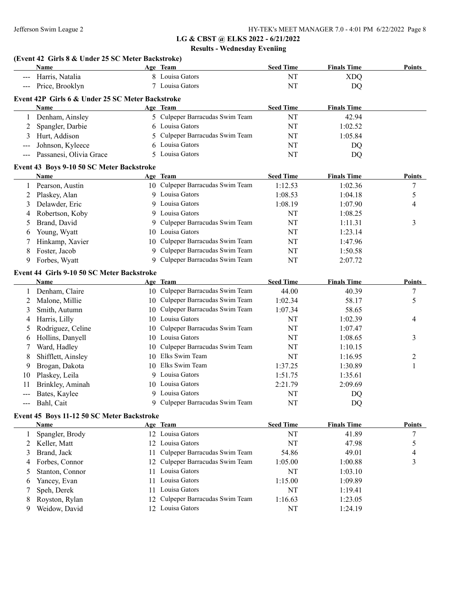## **LG & CBST @ ELKS 2022 - 6/21/2022**

## **Results - Wednesday Eveniing**

|                     | (Event 42 Girls 8 & Under 25 SC Meter Backstroke)<br>Name |    | Age Team                                           | <b>Seed Time</b> | <b>Finals Time</b> | Points        |
|---------------------|-----------------------------------------------------------|----|----------------------------------------------------|------------------|--------------------|---------------|
|                     | Harris, Natalia                                           |    | 8 Louisa Gators                                    | NT               | <b>XDO</b>         |               |
|                     | Price, Brooklyn                                           |    | 7 Louisa Gators                                    | NT               | <b>DQ</b>          |               |
|                     |                                                           |    |                                                    |                  |                    |               |
|                     | Event 42P Girls 6 & Under 25 SC Meter Backstroke<br>Name  |    | Age Team                                           | <b>Seed Time</b> | <b>Finals Time</b> |               |
| $\mathbf{1}$        | Denham, Ainsley                                           |    | 5 Culpeper Barracudas Swim Team                    | NT               | 42.94              |               |
| 2                   | Spangler, Darbie                                          | 6  | Louisa Gators                                      | NT               | 1:02.52            |               |
| 3                   | Hurt, Addison                                             | 5  | Culpeper Barracudas Swim Team                      | NT               | 1:05.84            |               |
|                     |                                                           |    | Louisa Gators                                      |                  |                    |               |
|                     | Johnson, Kyleece<br>Passanesi, Olivia Grace               | 5  | Louisa Gators                                      | NT<br>NT         | DQ<br>DQ           |               |
|                     |                                                           |    |                                                    |                  |                    |               |
|                     | Event 43 Boys 9-10 50 SC Meter Backstroke                 |    |                                                    |                  |                    |               |
|                     | Name                                                      |    | Age Team                                           | <b>Seed Time</b> | <b>Finals Time</b> | <b>Points</b> |
|                     | Pearson, Austin                                           |    | 10 Culpeper Barracudas Swim Team                   | 1:12.53          | 1:02.36            | 7             |
| 2                   | Plaskey, Alan                                             | 9  | Louisa Gators                                      | 1:08.53          | 1:04.18            | 5             |
| 3                   | Delawder, Eric                                            | 9  | Louisa Gators                                      | 1:08.19          | 1:07.90            | 4             |
| 4                   | Robertson, Koby                                           |    | 9 Louisa Gators                                    | NT               | 1:08.25            |               |
| 5                   | Brand, David                                              |    | Culpeper Barracudas Swim Team                      | NT               | 1:11.31            | 3             |
| 6                   | Young, Wyatt                                              | 10 | Louisa Gators                                      | NT               | 1:23.14            |               |
| 7                   | Hinkamp, Xavier                                           | 10 | Culpeper Barracudas Swim Team                      | NT               | 1:47.96            |               |
| 8                   | Foster, Jacob                                             | 9  | Culpeper Barracudas Swim Team                      | NT               | 1:50.58            |               |
| 9                   | Forbes, Wyatt                                             | 9  | Culpeper Barracudas Swim Team                      | NT               | 2:07.72            |               |
|                     | Event 44 Girls 9-10 50 SC Meter Backstroke                |    |                                                    |                  |                    |               |
|                     | Name                                                      |    | Age Team                                           | <b>Seed Time</b> | <b>Finals Time</b> | <b>Points</b> |
| 1                   | Denham, Claire                                            |    | 10 Culpeper Barracudas Swim Team                   | 44.00            | 40.39              | 7             |
| 2                   | Malone, Millie                                            |    | 10 Culpeper Barracudas Swim Team                   | 1:02.34          | 58.17              | 5             |
| 3                   | Smith, Autumn                                             | 10 | Culpeper Barracudas Swim Team                      | 1:07.34          | 58.65              |               |
| 4                   | Harris, Lilly                                             |    | 10 Louisa Gators                                   | NT               | 1:02.39            | 4             |
| 5                   | Rodriguez, Celine                                         | 10 | Culpeper Barracudas Swim Team                      | NT               | 1:07.47            |               |
| 6                   | Hollins, Danyell                                          | 10 | Louisa Gators                                      | NT               | 1:08.65            | 3             |
| 7                   | Ward, Hadley                                              | 10 | Culpeper Barracudas Swim Team                      | NT               | 1:10.15            |               |
| 8                   | Shifflett, Ainsley                                        | 10 | Elks Swim Team                                     | NT               | 1:16.95            | 2             |
| 9                   | Brogan, Dakota                                            | 10 | Elks Swim Team                                     | 1:37.25          | 1:30.89            | 1             |
| 10                  | Plaskey, Leila                                            |    | Louisa Gators                                      | 1:51.75          | 1:35.61            |               |
|                     | Brinkley, Aminah                                          | 10 | Louisa Gators                                      | 2:21.79          | 2:09.69            |               |
| 11                  |                                                           |    |                                                    |                  |                    |               |
| $---$               | Bates, Kaylee                                             |    | 9 Louisa Gators<br>9 Culpeper Barracudas Swim Team | NT               | <b>DQ</b>          |               |
| $\qquad \qquad - -$ | Bahl, Cait                                                |    |                                                    | NT               | DQ                 |               |
|                     | Event 45 Boys 11-12 50 SC Meter Backstroke                |    |                                                    |                  |                    |               |
|                     | <b>Name</b>                                               |    | Age Team                                           | <b>Seed Time</b> | <b>Finals Time</b> | <b>Points</b> |
| 1                   | Spangler, Brody                                           |    | 12 Louisa Gators                                   | NT               | 41.89              | 7             |
| 2                   | Keller, Matt                                              | 12 | Louisa Gators                                      | NT               | 47.98              | 5             |
| 3                   | Brand, Jack                                               | 11 | Culpeper Barracudas Swim Team                      | 54.86            | 49.01              | 4             |
| 4                   | Forbes, Connor                                            | 12 | Culpeper Barracudas Swim Team                      | 1:05.00          | 1:00.88            | 3             |
| 5                   | Stanton, Connor                                           | 11 | Louisa Gators                                      | NT               | 1:03.10            |               |
| 6                   | Yancey, Evan                                              | 11 | Louisa Gators                                      | 1:15.00          | 1:09.89            |               |
| 7                   | Speh, Derek                                               | 11 | Louisa Gators                                      | NT               | 1:19.41            |               |
| 8                   | Royston, Rylan                                            | 12 | Culpeper Barracudas Swim Team                      | 1:16.63          | 1:23.05            |               |
| 9                   | Weidow, David                                             |    | 12 Louisa Gators                                   | NT               | 1:24.19            |               |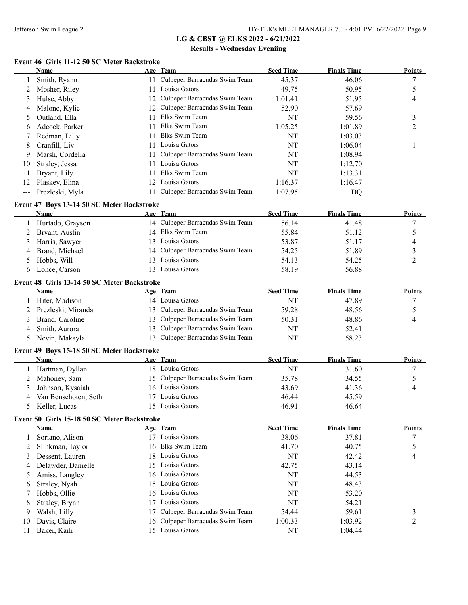## **Event 46 Girls 11-12 50 SC Meter Backstroke**

|                                                                                                                                                                                                                                                                                                                                                                                                                                                                            | Name            |     | Age Team                         | <b>Seed Time</b> | <b>Finals Time</b> | <b>Points</b> |
|----------------------------------------------------------------------------------------------------------------------------------------------------------------------------------------------------------------------------------------------------------------------------------------------------------------------------------------------------------------------------------------------------------------------------------------------------------------------------|-----------------|-----|----------------------------------|------------------|--------------------|---------------|
|                                                                                                                                                                                                                                                                                                                                                                                                                                                                            | Smith, Ryann    | 11. | Culpeper Barracudas Swim Team    | 45.37            | 46.06              |               |
|                                                                                                                                                                                                                                                                                                                                                                                                                                                                            | Mosher, Riley   |     | Louisa Gators                    | 49.75            | 50.95              |               |
| 3                                                                                                                                                                                                                                                                                                                                                                                                                                                                          | Hulse, Abby     |     | 12 Culpeper Barracudas Swim Team | 1:01.41          | 51.95              | 4             |
| 4                                                                                                                                                                                                                                                                                                                                                                                                                                                                          | Malone, Kylie   |     | 12 Culpeper Barracudas Swim Team | 52.90            | 57.69              |               |
| 5                                                                                                                                                                                                                                                                                                                                                                                                                                                                          | Outland, Ella   | 11  | Elks Swim Team                   | NT               | 59.56              | 3             |
| 6                                                                                                                                                                                                                                                                                                                                                                                                                                                                          | Adcock, Parker  | 11  | Elks Swim Team                   | 1:05.25          | 1:01.89            | 2             |
|                                                                                                                                                                                                                                                                                                                                                                                                                                                                            | Redman, Lilly   | 11  | Elks Swim Team                   | NT               | 1:03.03            |               |
| 8                                                                                                                                                                                                                                                                                                                                                                                                                                                                          | Cranfill, Liv   | 11. | Louisa Gators                    | NT               | 1:06.04            |               |
| 9                                                                                                                                                                                                                                                                                                                                                                                                                                                                          | Marsh, Cordelia | 11  | Culpeper Barracudas Swim Team    | NT               | 1:08.94            |               |
| 10                                                                                                                                                                                                                                                                                                                                                                                                                                                                         | Straley, Jessa  | 11. | Louisa Gators                    | NT               | 1:12.70            |               |
| 11                                                                                                                                                                                                                                                                                                                                                                                                                                                                         | Bryant, Lily    | 11. | Elks Swim Team                   | NT               | 1:13.31            |               |
| 12                                                                                                                                                                                                                                                                                                                                                                                                                                                                         | Plaskey, Elina  | 12. | Louisa Gators                    | 1:16.37          | 1:16.47            |               |
| $\frac{1}{2} \left( \frac{1}{2} \right) \left( \frac{1}{2} \right) \left( \frac{1}{2} \right) \left( \frac{1}{2} \right) \left( \frac{1}{2} \right) \left( \frac{1}{2} \right) \left( \frac{1}{2} \right) \left( \frac{1}{2} \right) \left( \frac{1}{2} \right) \left( \frac{1}{2} \right) \left( \frac{1}{2} \right) \left( \frac{1}{2} \right) \left( \frac{1}{2} \right) \left( \frac{1}{2} \right) \left( \frac{1}{2} \right) \left( \frac{1}{2} \right) \left( \frac$ | Prezleski, Myla |     | Culpeper Barracudas Swim Team    | 1:07.95          | DO                 |               |

#### **Event 47 Boys 13-14 50 SC Meter Backstroke**

|   | Name             | Age Team                         | <b>Seed Time</b> | <b>Finals Time</b> | <b>Points</b> |
|---|------------------|----------------------------------|------------------|--------------------|---------------|
|   | Hurtado, Grayson | 14 Culpeper Barracudas Swim Team | 56.14            | 41.48              |               |
|   | 2 Bryant, Austin | 14 Elks Swim Team                | 55.84            | 51.12              |               |
|   | 3 Harris, Sawyer | 13 Louisa Gators                 | 53.87            | 51.17              | 4             |
| 4 | Brand, Michael   | 14 Culpeper Barracudas Swim Team | 54.25            | 51.89              |               |
|   | 5 Hobbs, Will    | 13 Louisa Gators                 | 54.13            | 54.25              |               |
|   | Lonce, Carson    | 13 Louisa Gators                 | 58.19            | 56.88              |               |

#### **Event 48 Girls 13-14 50 SC Meter Backstroke**

| Name                 | Age Team                         | <b>Seed Time</b> | <b>Finals Time</b> | <b>Points</b> |
|----------------------|----------------------------------|------------------|--------------------|---------------|
| Hiter, Madison       | 14 Louisa Gators                 | NT               | 47.89              |               |
| 2 Prezleski, Miranda | 13 Culpeper Barracudas Swim Team | 59.28            | 48.56              |               |
| 3 Brand, Caroline    | 13 Culpeper Barracudas Swim Team | 50.31            | 48.86              | 4             |
| 4 Smith, Aurora      | 13 Culpeper Barracudas Swim Team | NT               | 52.41              |               |
| 5 Nevin, Makayla     | 13 Culpeper Barracudas Swim Team | NT               | 58.23              |               |

#### **Event 49 Boys 15-18 50 SC Meter Backstroke**

| Name                   | Age Team                         | <b>Seed Time</b> | <b>Finals Time</b> | <b>Points</b> |
|------------------------|----------------------------------|------------------|--------------------|---------------|
| Hartman, Dyllan        | 18 Louisa Gators                 | NT               | 31.60              |               |
| 2 Mahoney, Sam         | 15 Culpeper Barracudas Swim Team | 35.78            | 34.55              |               |
| 3 Johnson, Kysaiah     | 16 Louisa Gators                 | 43.69            | 41.36              |               |
| 4 Van Benschoten, Seth | Louisa Gators                    | 46.44            | 45.59              |               |
| 5 Keller, Lucas        | Louisa Gators                    | 46.91            | 46.64              |               |

#### **Event 50 Girls 15-18 50 SC Meter Backstroke**

| Name                 |               | <b>Seed Time</b>                                                                                                                                                                                                                          | <b>Finals Time</b> | <b>Points</b> |
|----------------------|---------------|-------------------------------------------------------------------------------------------------------------------------------------------------------------------------------------------------------------------------------------------|--------------------|---------------|
| Soriano, Alison      | Louisa Gators | 38.06                                                                                                                                                                                                                                     | 37.81              |               |
| 2 Slinkman, Taylor   |               | 41.70                                                                                                                                                                                                                                     | 40.75              |               |
| 3 Dessent, Lauren    |               | NT                                                                                                                                                                                                                                        | 42.42              | 4             |
| 4 Delawder, Danielle |               | 42.75                                                                                                                                                                                                                                     | 43.14              |               |
| 5 Amiss, Langley     |               | NT                                                                                                                                                                                                                                        | 44.53              |               |
| Straley, Nyah<br>6   |               | <b>NT</b>                                                                                                                                                                                                                                 | 48.43              |               |
| 7 Hobbs, Ollie       |               | NT                                                                                                                                                                                                                                        | 53.20              |               |
| Straley, Brynn<br>8  | Louisa Gators | NT                                                                                                                                                                                                                                        | 54.21              |               |
| Walsh, Lilly         |               | 54.44                                                                                                                                                                                                                                     | 59.61              | 3             |
| Davis, Claire        |               | 1:00.33                                                                                                                                                                                                                                   | 1:03.92            |               |
| Baker, Kaili         |               | NT                                                                                                                                                                                                                                        | 1:04.44            |               |
|                      |               | Age Team<br>17<br>16 Elks Swim Team<br>18 Louisa Gators<br>15 Louisa Gators<br>16 Louisa Gators<br>15 Louisa Gators<br>16 Louisa Gators<br>17<br>17 Culpeper Barracudas Swim Team<br>16 Culpeper Barracudas Swim Team<br>15 Louisa Gators |                    |               |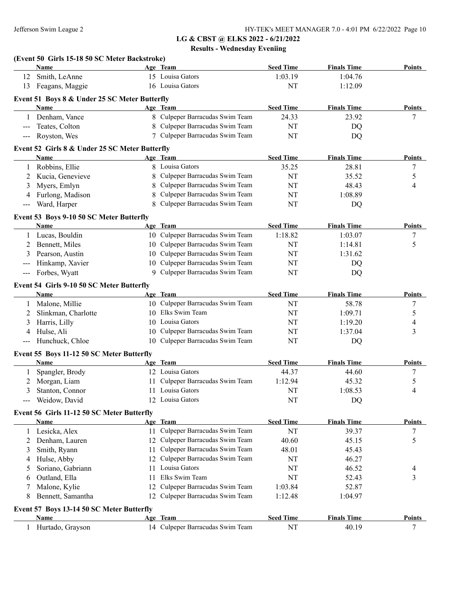|                            | (Event 50 Girls 15-18 50 SC Meter Backstroke)<br>Name |    | Age Team                         | <b>Seed Time</b> | <b>Finals Time</b> | Points        |
|----------------------------|-------------------------------------------------------|----|----------------------------------|------------------|--------------------|---------------|
| 12                         | Smith, LeAnne                                         |    | 15 Louisa Gators                 | 1:03.19          | 1:04.76            |               |
| 13                         | Feagans, Maggie                                       |    | 16 Louisa Gators                 | NT               | 1:12.09            |               |
|                            |                                                       |    |                                  |                  |                    |               |
|                            | Event 51 Boys 8 & Under 25 SC Meter Butterfly         |    |                                  |                  |                    |               |
|                            | Name                                                  |    | Age Team                         | <b>Seed Time</b> | <b>Finals Time</b> | Points        |
|                            | 1 Denham, Vance                                       |    | 8 Culpeper Barracudas Swim Team  | 24.33            | 23.92              | 7             |
| $\qquad \qquad - -$        | Teates, Colton                                        |    | 8 Culpeper Barracudas Swim Team  | NT               | DQ                 |               |
| $---$                      | Royston, Wes                                          |    | 7 Culpeper Barracudas Swim Team  | NT               | DQ                 |               |
|                            | Event 52 Girls 8 & Under 25 SC Meter Butterfly        |    |                                  |                  |                    |               |
|                            | <b>Name</b>                                           |    | Age Team                         | <b>Seed Time</b> | <b>Finals Time</b> | Points        |
|                            | 1 Robbins, Ellie                                      |    | 8 Louisa Gators                  | 35.25            | 28.81              | 7             |
| 2                          | Kucia, Genevieve                                      | 8  | Culpeper Barracudas Swim Team    | NT               | 35.52              | 5             |
| 3                          | Myers, Emlyn                                          | 8  | Culpeper Barracudas Swim Team    | NT               | 48.43              | 4             |
| 4                          | Furlong, Madison                                      | 8  | Culpeper Barracudas Swim Team    | NT               | 1:08.89            |               |
| $--$                       | Ward, Harper                                          | 8  | Culpeper Barracudas Swim Team    | NT               | DQ                 |               |
|                            | Event 53 Boys 9-10 50 SC Meter Butterfly              |    |                                  |                  |                    |               |
|                            | Name                                                  |    | Age Team                         | <b>Seed Time</b> | <b>Finals Time</b> | Points        |
|                            | 1 Lucas, Bouldin                                      |    | 10 Culpeper Barracudas Swim Team | 1:18.82          | 1:03.07            | 7             |
| 2                          | Bennett, Miles                                        |    | 10 Culpeper Barracudas Swim Team | NT               | 1:14.81            | 5             |
| 3                          | Pearson, Austin                                       |    | 10 Culpeper Barracudas Swim Team | NT               | 1:31.62            |               |
| $\qquad \qquad -$          | Hinkamp, Xavier                                       |    | 10 Culpeper Barracudas Swim Team | NT               | DQ                 |               |
| $\qquad \qquad -$          | Forbes, Wyatt                                         |    | 9 Culpeper Barracudas Swim Team  | NT               | DQ                 |               |
|                            |                                                       |    |                                  |                  |                    |               |
|                            | Event 54 Girls 9-10 50 SC Meter Butterfly             |    |                                  |                  |                    |               |
|                            | <b>Name</b>                                           |    | Age Team                         | <b>Seed Time</b> | <b>Finals Time</b> | Points        |
| 1                          | Malone, Millie                                        |    | 10 Culpeper Barracudas Swim Team | NT               | 58.78              | 7             |
| 2                          | Slinkman, Charlotte                                   |    | 10 Elks Swim Team                | NT               | 1:09.71            | 5             |
| 3                          | Harris, Lilly                                         |    | 10 Louisa Gators                 | NT               | 1:19.20            | 4             |
| 4                          | Hulse, Ali                                            | 10 | Culpeper Barracudas Swim Team    | NT               | 1:37.04            | 3             |
| $\qquad \qquad - \qquad -$ | Hunchuck, Chloe                                       |    | 10 Culpeper Barracudas Swim Team | NT               | DQ                 |               |
|                            | Event 55 Boys 11-12 50 SC Meter Butterfly             |    |                                  |                  |                    |               |
|                            | <b>Name</b>                                           |    |                                  |                  |                    |               |
|                            |                                                       |    | Age Team                         | <b>Seed Time</b> | <b>Finals Time</b> | Points        |
| 1                          |                                                       |    | 12 Louisa Gators                 | 44.37            |                    | 7             |
|                            | Spangler, Brody                                       |    |                                  |                  | 44.60              |               |
| 2<br>3                     | Morgan, Liam                                          |    | 11 Culpeper Barracudas Swim Team | 1:12.94          | 45.32              | 5             |
| ---                        | Stanton, Connor                                       |    | 11 Louisa Gators                 | NT               | 1:08.53            | 4             |
|                            | Weidow, David                                         |    | 12 Louisa Gators                 | NT               | DQ                 |               |
|                            | Event 56 Girls 11-12 50 SC Meter Butterfly            |    |                                  |                  |                    |               |
|                            | <b>Name</b>                                           |    | Age Team                         | <b>Seed Time</b> | <b>Finals Time</b> | <b>Points</b> |
|                            | Lesicka, Alex                                         |    | 11 Culpeper Barracudas Swim Team | NT               | 39.37              | 7             |
| 2                          | Denham, Lauren                                        |    | 12 Culpeper Barracudas Swim Team | 40.60            | 45.15              | 5             |
| 3                          | Smith, Ryann                                          |    | 11 Culpeper Barracudas Swim Team | 48.01            | 45.43              |               |
| 4                          | Hulse, Abby                                           |    | 12 Culpeper Barracudas Swim Team | NT               | 46.27              |               |
| 5                          | Soriano, Gabriann                                     | 11 | Louisa Gators                    | NT               | 46.52              | 4             |
| 6                          | Outland, Ella                                         | 11 | Elks Swim Team                   | NT               | 52.43              | 3             |
| 7                          | Malone, Kylie                                         |    | 12 Culpeper Barracudas Swim Team | 1:03.84          | 52.87              |               |
| 8                          | Bennett, Samantha                                     |    | 12 Culpeper Barracudas Swim Team | 1:12.48          | 1:04.97            |               |
|                            |                                                       |    |                                  |                  |                    |               |
|                            | Event 57 Boys 13-14 50 SC Meter Butterfly<br>Name     |    | Age Team                         | <b>Seed Time</b> | <b>Finals Time</b> | Points        |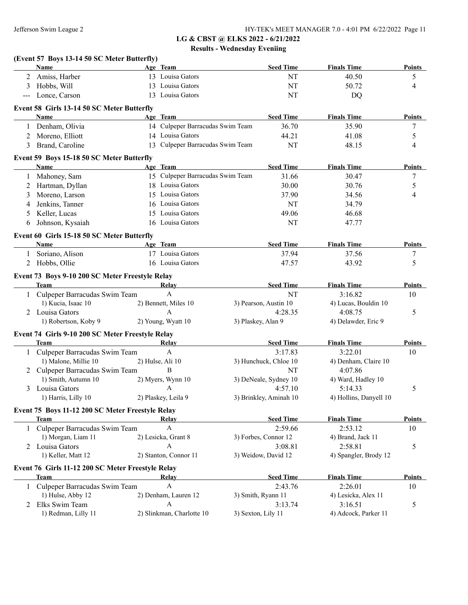|       | (Event 57 Boys 13-14 50 SC Meter Butterfly)                     |                                  |                    |                                |                        |               |
|-------|-----------------------------------------------------------------|----------------------------------|--------------------|--------------------------------|------------------------|---------------|
|       | Name                                                            | Age Team                         |                    | <b>Seed Time</b>               | <b>Finals Time</b>     | <b>Points</b> |
|       | 2 Amiss, Harber                                                 | 13 Louisa Gators                 |                    | NT                             | 40.50                  | 5             |
| 3     | Hobbs, Will                                                     | 13 Louisa Gators                 |                    | NT                             | 50.72                  | 4             |
| $---$ | Lonce, Carson                                                   | 13 Louisa Gators                 |                    | NT                             | DQ                     |               |
|       | Event 58 Girls 13-14 50 SC Meter Butterfly                      |                                  |                    |                                |                        |               |
|       | <b>Name</b>                                                     | Age Team                         |                    | <b>Seed Time</b>               | <b>Finals Time</b>     | Points        |
|       | Denham, Olivia                                                  | 14 Culpeper Barracudas Swim Team |                    | 36.70                          | 35.90                  | 7             |
| 2     | Moreno, Elliott                                                 | 14 Louisa Gators                 |                    | 44.21                          | 41.08                  | 5             |
| 3     | Brand, Caroline                                                 | 13 Culpeper Barracudas Swim Team |                    | NT                             | 48.15                  | 4             |
|       | Event 59 Boys 15-18 50 SC Meter Butterfly                       |                                  |                    |                                |                        |               |
|       | Name                                                            | Age Team                         |                    | <b>Seed Time</b>               | <b>Finals Time</b>     | <b>Points</b> |
|       | Mahoney, Sam                                                    | 15 Culpeper Barracudas Swim Team |                    | 31.66                          | 30.47                  | 7             |
|       | Hartman, Dyllan                                                 | 18 Louisa Gators                 |                    | 30.00                          | 30.76                  | 5             |
| 3     | Moreno, Larson                                                  | 15 Louisa Gators                 |                    | 37.90                          | 34.56                  | 4             |
| 4     | Jenkins, Tanner                                                 | 16 Louisa Gators                 |                    | NT                             | 34.79                  |               |
| 5     | Keller, Lucas                                                   | 15 Louisa Gators                 |                    | 49.06                          | 46.68                  |               |
| 6     | Johnson, Kysaiah                                                | 16 Louisa Gators                 |                    | NT                             | 47.77                  |               |
|       | Event 60 Girls 15-18 50 SC Meter Butterfly                      |                                  |                    |                                |                        |               |
|       | Name                                                            | Age Team                         |                    | <b>Seed Time</b>               | <b>Finals Time</b>     | <b>Points</b> |
|       | 1 Soriano, Alison                                               | 17 Louisa Gators                 |                    | 37.94                          | 37.56                  | 7             |
| 2     | Hobbs, Ollie                                                    | 16 Louisa Gators                 |                    | 47.57                          | 43.92                  | 5             |
|       | Event 73 Boys 9-10 200 SC Meter Freestyle Relay                 |                                  |                    |                                |                        |               |
|       | <b>Team</b>                                                     | Relay                            |                    | <b>Seed Time</b>               | <b>Finals Time</b>     | <b>Points</b> |
|       | 1 Culpeper Barracudas Swim Team                                 | $\mathbf{A}$                     |                    | <b>NT</b>                      | 3:16.82                | 10            |
|       | 1) Kucia, Isaac 10                                              | 2) Bennett, Miles 10             |                    | 3) Pearson, Austin 10          | 4) Lucas, Bouldin 10   |               |
|       | 2 Louisa Gators                                                 | A                                |                    | 4:28.35                        | 4:08.75                | 5             |
|       | 1) Robertson, Koby 9                                            | 2) Young, Wyatt 10               | 3) Plaskey, Alan 9 |                                | 4) Delawder, Eric 9    |               |
|       | Event 74 Girls 9-10 200 SC Meter Freestyle Relay                |                                  |                    |                                |                        |               |
|       | <b>Team</b>                                                     | Relay                            |                    | <b>Seed Time</b>               | <b>Finals Time</b>     | Points        |
|       | 1 Culpeper Barracudas Swim Team                                 | $\mathbf{A}$                     |                    | 3:17.83                        | 3:22.01                | 10            |
|       | 1) Malone, Millie 10                                            | 2) Hulse, Ali 10                 |                    | 3) Hunchuck, Chloe 10          | 4) Denham, Claire 10   |               |
|       | 2 Culpeper Barracudas Swim Team                                 | B                                |                    | NT                             | 4:07.86                |               |
|       | 1) Smith, Autumn 10                                             | 2) Myers, Wynn 10                |                    | 3) DeNeale, Sydney 10          | 4) Ward, Hadley 10     |               |
|       | 3 Louisa Gators                                                 | A                                |                    | 4:57.10                        | 5:14.33                | 5             |
|       | 1) Harris, Lilly 10                                             | 2) Plaskey, Leila 9              |                    | 3) Brinkley, Aminah 10         | 4) Hollins, Danyell 10 |               |
|       |                                                                 |                                  |                    |                                |                        |               |
|       | Event 75 Boys 11-12 200 SC Meter Freestyle Relay<br><b>Team</b> | Relay                            |                    | <b>Seed Time</b>               | <b>Finals Time</b>     | <b>Points</b> |
|       | 1 Culpeper Barracudas Swim Team                                 | A                                |                    | 2:59.66                        | 2:53.12                | 10            |
|       | 1) Morgan, Liam 11                                              | 2) Lesicka, Grant 8              |                    | 3) Forbes, Connor 12           | 4) Brand, Jack 11      |               |
|       | Louisa Gators                                                   | A                                |                    |                                | 2:58.81                |               |
| 2     | 1) Keller, Matt 12                                              | 2) Stanton, Connor 11            |                    | 3:08.81<br>3) Weidow, David 12 | 4) Spangler, Brody 12  | 5             |
|       |                                                                 |                                  |                    |                                |                        |               |
|       | Event 76 Girls 11-12 200 SC Meter Freestyle Relay               |                                  |                    |                                |                        |               |
|       | <b>Team</b>                                                     | Relay                            |                    | <b>Seed Time</b>               | <b>Finals Time</b>     | <b>Points</b> |
|       | 1 Culpeper Barracudas Swim Team                                 | A                                |                    | 2:43.76                        | 2:26.01                | 10            |
|       | 1) Hulse, Abby 12                                               | 2) Denham, Lauren 12             |                    | 3) Smith, Ryann 11             | 4) Lesicka, Alex 11    |               |
| 2     | Elks Swim Team                                                  | A                                |                    | 3:13.74                        | 3:16.51                | 5             |
|       | 1) Redman, Lilly 11                                             | 2) Slinkman, Charlotte 10        | 3) Sexton, Lily 11 |                                | 4) Adcock, Parker 11   |               |